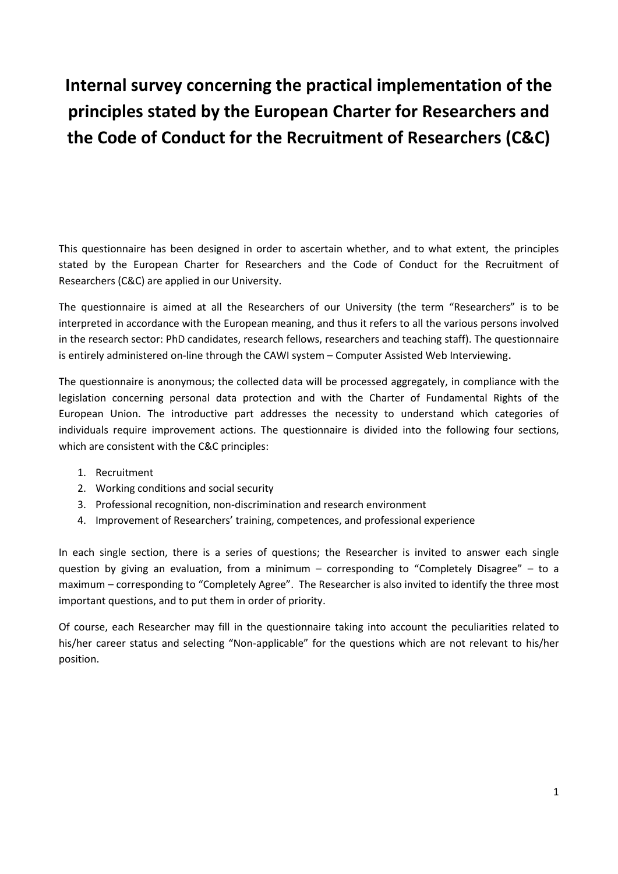# **Internal survey concerning the practical implementation of the principles stated by the European Charter for Researchers and the Code of Conduct for the Recruitment of Researchers (C&C)**

This questionnaire has been designed in order to ascertain whether, and to what extent, the principles stated by the European Charter for Researchers and the Code of Conduct for the Recruitment of Researchers (C&C) are applied in our University.

The questionnaire is aimed at all the Researchers of our University (the term "Researchers" is to be interpreted in accordance with the European meaning, and thus it refers to all the various persons involved in the research sector: PhD candidates, research fellows, researchers and teaching staff). The questionnaire is entirely administered on-line through the CAWI system – Computer Assisted Web Interviewing.

The questionnaire is anonymous; the collected data will be processed aggregately, in compliance with the legislation concerning personal data protection and with the Charter of Fundamental Rights of the European Union. The introductive part addresses the necessity to understand which categories of individuals require improvement actions. The questionnaire is divided into the following four sections, which are consistent with the C&C principles:

- 1. Recruitment
- 2. Working conditions and social security
- 3. Professional recognition, non-discrimination and research environment
- 4. Improvement of Researchers' training, competences, and professional experience

In each single section, there is a series of questions; the Researcher is invited to answer each single question by giving an evaluation, from a minimum – corresponding to "Completely Disagree" – to a maximum – corresponding to "Completely Agree". The Researcher is also invited to identify the three most important questions, and to put them in order of priority.

Of course, each Researcher may fill in the questionnaire taking into account the peculiarities related to his/her career status and selecting "Non-applicable" for the questions which are not relevant to his/her position.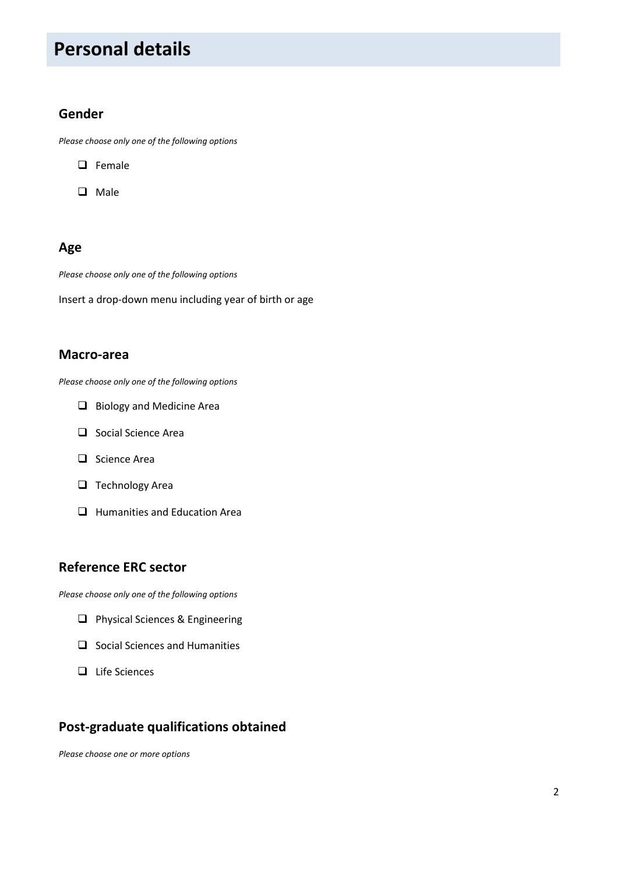# **Personal details**

#### **Gender**

*Please choose only one of the following options*

- $\Box$  Female
- **Q** Male

### **Age**

*Please choose only one of the following options*

Insert a drop-down menu including year of birth or age

#### **Macro-area**

*Please choose only one of the following options*

- Biology and Medicine Area
- □ Social Science Area
- $\Box$  Science Area
- $\Box$  Technology Area
- **Humanities and Education Area**

#### **Reference ERC sector**

*Please choose only one of the following options*

- **Q** Physical Sciences & Engineering
- $\Box$  Social Sciences and Humanities
- $\Box$  Life Sciences

### **Post-graduate qualifications obtained**

*Please choose one or more options*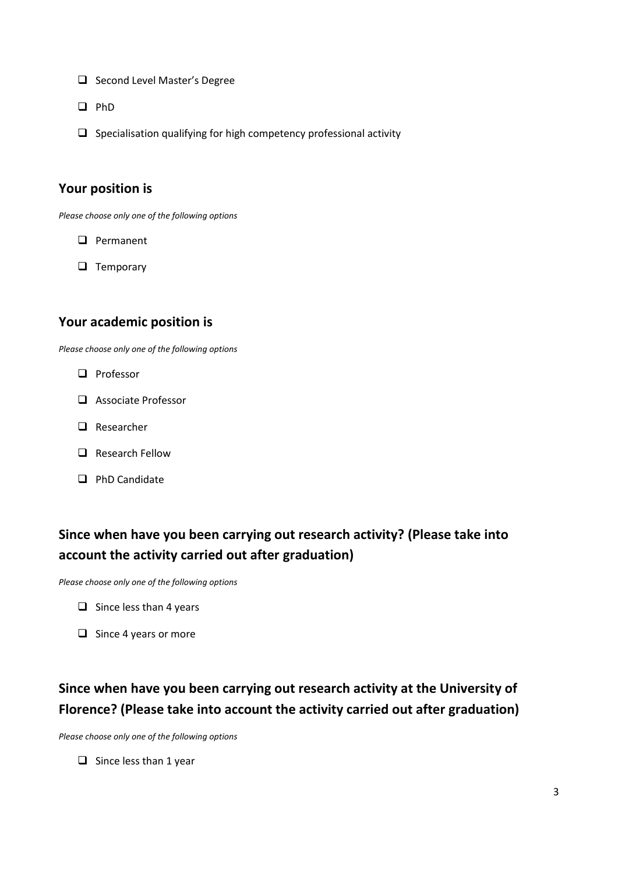- $\Box$  Second Level Master's Degree
- $\Box$  PhD
- $\Box$  Specialisation qualifying for high competency professional activity

#### **Your position is**

*Please choose only one of the following options*

- **Q** Permanent
- $\Box$  Temporary

#### **Your academic position is**

*Please choose only one of the following options*

- **Q** Professor
- Associate Professor
- □ Researcher
- **Q** Research Fellow
- $\Box$  PhD Candidate

## **Since when have you been carrying out research activity? (Please take into account the activity carried out after graduation)**

*Please choose only one of the following options*

- $\Box$  Since less than 4 years
- $\Box$  Since 4 years or more

## **Since when have you been carrying out research activity at the University of Florence? (Please take into account the activity carried out after graduation)**

*Please choose only one of the following options*

 $\Box$  Since less than 1 year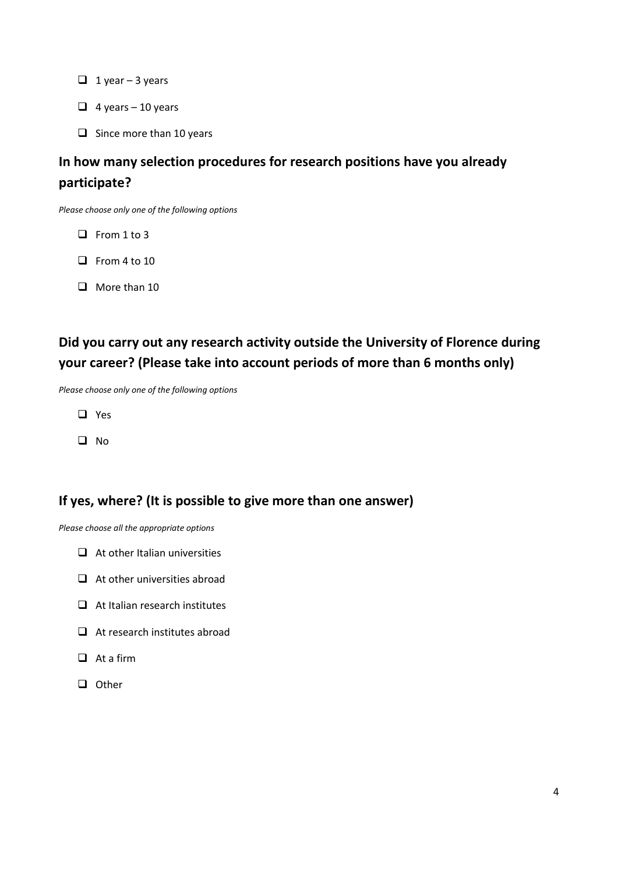- $\Box$  1 year 3 years
- $\Box$  4 years 10 years
- $\Box$  Since more than 10 years

## **In how many selection procedures for research positions have you already participate?**

*Please choose only one of the following options*

- $\Box$  From 1 to 3
- $\Box$  From 4 to 10
- $\Box$  More than 10

## **Did you carry out any research activity outside the University of Florence during your career? (Please take into account periods of more than 6 months only)**

*Please choose only one of the following options*

- □ Yes
- $\Box$  No

### **If yes, where? (It is possible to give more than one answer)**

*Please choose all the appropriate options*

- $\Box$  At other Italian universities
- $\Box$  At other universities abroad
- $\Box$  At Italian research institutes
- $\Box$  At research institutes abroad
- $\Box$  At a firm
- $\Box$  Other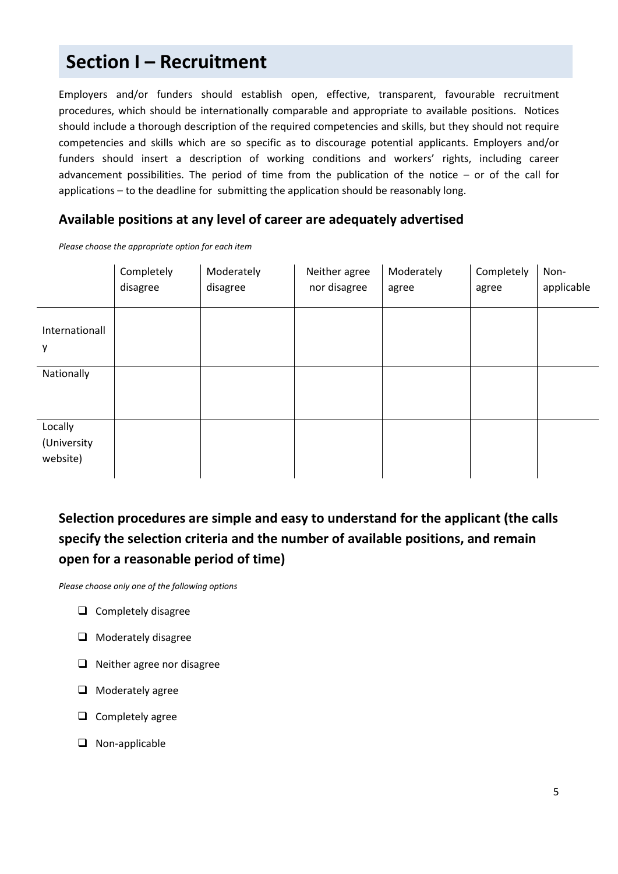# **Section I – Recruitment**

Employers and/or funders should establish open, effective, transparent, favourable recruitment procedures, which should be internationally comparable and appropriate to available positions. Notices should include a thorough description of the required competencies and skills, but they should not require competencies and skills which are so specific as to discourage potential applicants. Employers and/or funders should insert a description of working conditions and workers' rights, including career advancement possibilities. The period of time from the publication of the notice – or of the call for applications – to the deadline for submitting the application should be reasonably long.

#### **Available positions at any level of career are adequately advertised**

*Please choose the appropriate option for each item*

|                                    | Completely<br>disagree | Moderately<br>disagree | Neither agree<br>nor disagree | Moderately<br>agree | Completely<br>agree | Non-<br>applicable |
|------------------------------------|------------------------|------------------------|-------------------------------|---------------------|---------------------|--------------------|
| Internationall<br>у                |                        |                        |                               |                     |                     |                    |
| Nationally                         |                        |                        |                               |                     |                     |                    |
| Locally<br>(University<br>website) |                        |                        |                               |                     |                     |                    |

## **Selection procedures are simple and easy to understand for the applicant (the calls specify the selection criteria and the number of available positions, and remain open for a reasonable period of time)**

- $\Box$  Completely disagree
- $\Box$  Moderately disagree
- $\Box$  Neither agree nor disagree
- $\Box$  Moderately agree
- $\Box$  Completely agree
- □ Non-applicable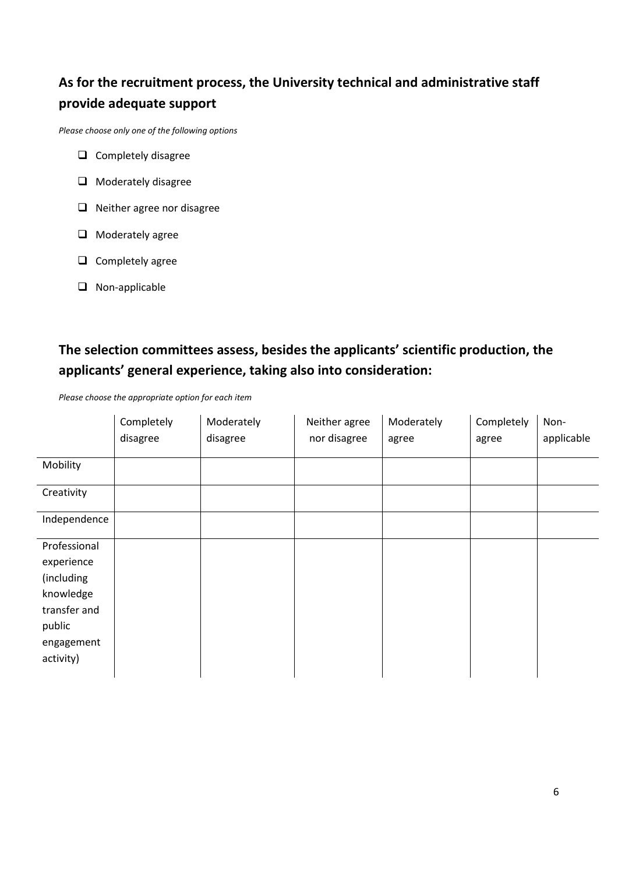## **As for the recruitment process, the University technical and administrative staff provide adequate support**

*Please choose only one of the following options*

- $\Box$  Completely disagree
- **Q** Moderately disagree
- $\Box$  Neither agree nor disagree
- $\Box$  Moderately agree
- $\Box$  Completely agree
- **Q** Non-applicable

## **The selection committees assess, besides the applicants' scientific production, the applicants' general experience, taking also into consideration:**

*Please choose the appropriate option for each item*

|                                                                                                            | Completely<br>disagree | Moderately<br>disagree | Neither agree<br>nor disagree | Moderately<br>agree | Completely<br>agree | Non-<br>applicable |
|------------------------------------------------------------------------------------------------------------|------------------------|------------------------|-------------------------------|---------------------|---------------------|--------------------|
| Mobility                                                                                                   |                        |                        |                               |                     |                     |                    |
| Creativity                                                                                                 |                        |                        |                               |                     |                     |                    |
| Independence                                                                                               |                        |                        |                               |                     |                     |                    |
| Professional<br>experience<br>(including<br>knowledge<br>transfer and<br>public<br>engagement<br>activity) |                        |                        |                               |                     |                     |                    |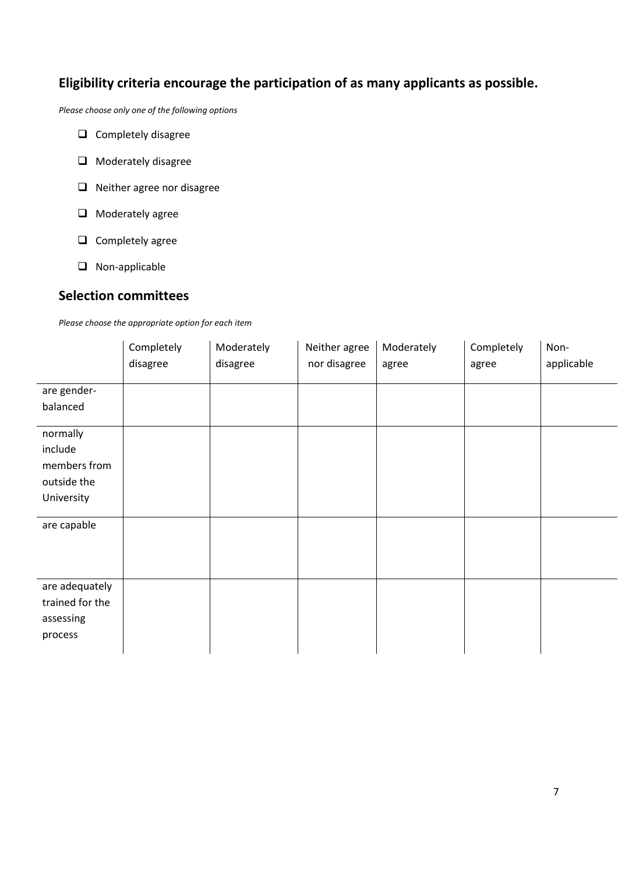## **Eligibility criteria encourage the participation of as many applicants as possible.**

*Please choose only one of the following options*

- $\Box$  Completely disagree
- $\Box$  Moderately disagree
- □ Neither agree nor disagree
- $\Box$  Moderately agree
- $\Box$  Completely agree
- **Q** Non-applicable

#### **Selection committees**

*Please choose the appropriate option for each item*

|                                                                                 | Completely<br>disagree | Moderately<br>disagree | Neither agree<br>nor disagree | Moderately<br>agree | Completely<br>agree | Non-<br>applicable |
|---------------------------------------------------------------------------------|------------------------|------------------------|-------------------------------|---------------------|---------------------|--------------------|
| are gender-<br>balanced                                                         |                        |                        |                               |                     |                     |                    |
| normally<br>include<br>members from<br>outside the<br>University<br>are capable |                        |                        |                               |                     |                     |                    |
|                                                                                 |                        |                        |                               |                     |                     |                    |
| are adequately<br>trained for the<br>assessing<br>process                       |                        |                        |                               |                     |                     |                    |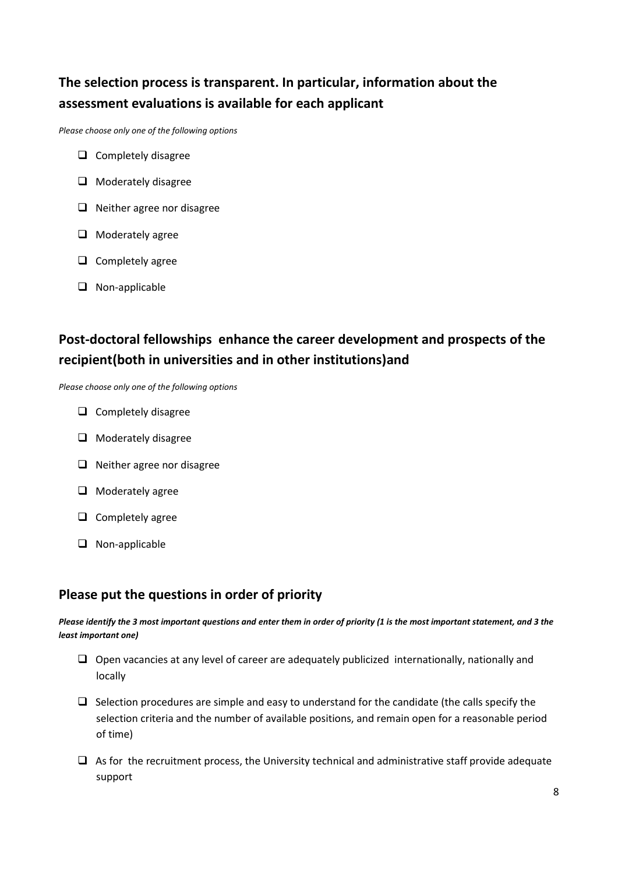## **The selection process is transparent. In particular, information about the assessment evaluations is available for each applicant**

*Please choose only one of the following options*

- $\Box$  Completely disagree
- $\Box$  Moderately disagree
- $\Box$  Neither agree nor disagree
- $\Box$  Moderately agree
- $\Box$  Completely agree
- □ Non-applicable

## **Post-doctoral fellowships enhance the career development and prospects of the recipient(both in universities and in other institutions)and**

*Please choose only one of the following options*

- $\Box$  Completely disagree
- $\Box$  Moderately disagree
- $\Box$  Neither agree nor disagree
- $\Box$  Moderately agree
- $\Box$  Completely agree
- $\Box$  Non-applicable

#### **Please put the questions in order of priority**

*Please identify the 3 most important questions and enter them in order of priority (1 is the most important statement, and 3 the least important one)*

- $\Box$  Open vacancies at any level of career are adequately publicized internationally, nationally and locally
- $\Box$  Selection procedures are simple and easy to understand for the candidate (the calls specify the selection criteria and the number of available positions, and remain open for a reasonable period of time)
- $\Box$  As for the recruitment process, the University technical and administrative staff provide adequate support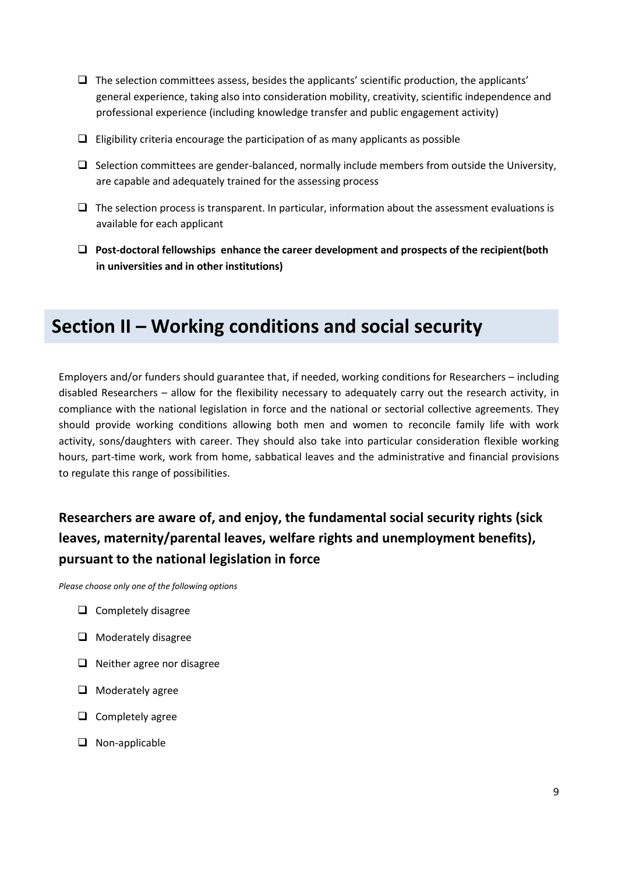- $\Box$  The selection committees assess, besides the applicants' scientific production, the applicants' general experience, taking also into consideration mobility, creativity, scientific independence and professional experience (including knowledge transfer and public engagement activity)
- $\Box$  Eligibility criteria encourage the participation of as many applicants as possible
- $\Box$  Selection committees are gender-balanced, normally include members from outside the University, are capable and adequately trained for the assessing process
- $\Box$  The selection process is transparent. In particular, information about the assessment evaluations is available for each applicant
- **Post-doctoral fellowships enhance the career development and prospects of the recipient(both in universities and in other institutions)**

## **Section II – Working conditions and social security**

Employers and/or funders should guarantee that, if needed, working conditions for Researchers – including disabled Researchers – allow for the flexibility necessary to adequately carry out the research activity, in compliance with the national legislation in force and the national or sectorial collective agreements. They should provide working conditions allowing both men and women to reconcile family life with work activity, sons/daughters with career. They should also take into particular consideration flexible working hours, part-time work, work from home, sabbatical leaves and the administrative and financial provisions to regulate this range of possibilities.

## **Researchers are aware of, and enjoy, the fundamental social security rights (sick leaves, maternity/parental leaves, welfare rights and unemployment benefits), pursuant to the national legislation in force**

- $\Box$  Completely disagree
- $\Box$  Moderately disagree
- $\Box$  Neither agree nor disagree
- $\Box$  Moderately agree
- $\Box$  Completely agree
- $\Box$  Non-applicable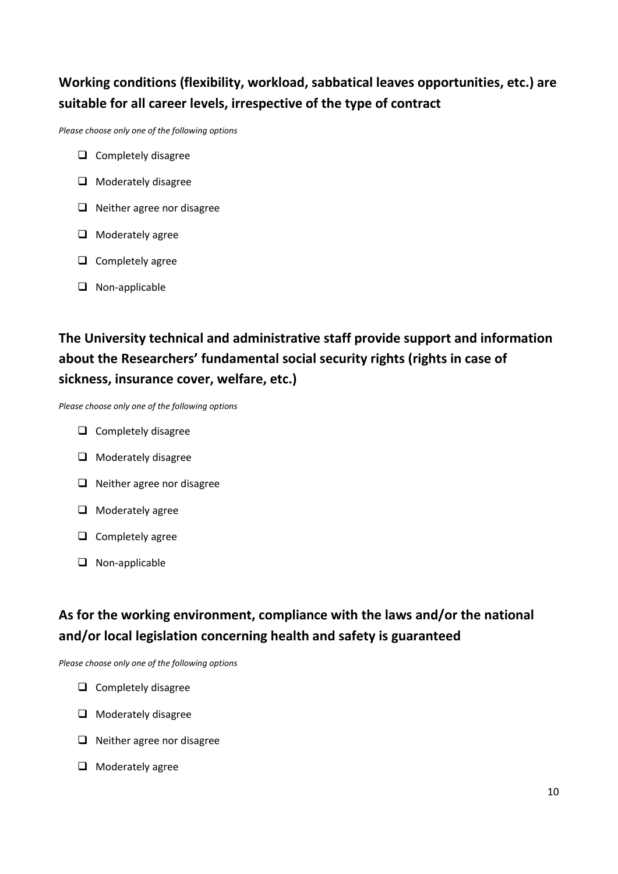## **Working conditions (flexibility, workload, sabbatical leaves opportunities, etc.) are suitable for all career levels, irrespective of the type of contract**

*Please choose only one of the following options*

- $\Box$  Completely disagree
- $\Box$  Moderately disagree
- $\Box$  Neither agree nor disagree
- $\Box$  Moderately agree
- $\Box$  Completely agree
- □ Non-applicable

## **The University technical and administrative staff provide support and information about the Researchers' fundamental social security rights (rights in case of sickness, insurance cover, welfare, etc.)**

*Please choose only one of the following options*

- $\Box$  Completely disagree
- $\Box$  Moderately disagree
- $\Box$  Neither agree nor disagree
- $\Box$  Moderately agree
- $\Box$  Completely agree
- **Q** Non-applicable

## **As for the working environment, compliance with the laws and/or the national and/or local legislation concerning health and safety is guaranteed**

- $\Box$  Completely disagree
- $\Box$  Moderately disagree
- $\Box$  Neither agree nor disagree
- $\Box$  Moderately agree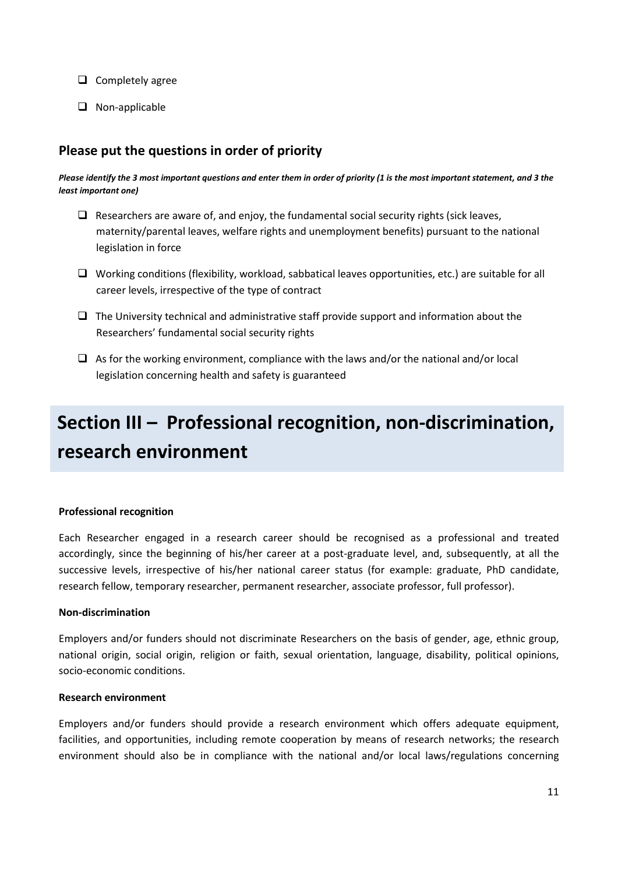- $\Box$  Completely agree
- □ Non-applicable

### **Please put the questions in order of priority**

*Please identify the 3 most important questions and enter them in order of priority (1 is the most important statement, and 3 the least important one)*

- $\Box$  Researchers are aware of, and enjoy, the fundamental social security rights (sick leaves, maternity/parental leaves, welfare rights and unemployment benefits) pursuant to the national legislation in force
- $\Box$  Working conditions (flexibility, workload, sabbatical leaves opportunities, etc.) are suitable for all career levels, irrespective of the type of contract
- $\Box$  The University technical and administrative staff provide support and information about the Researchers' fundamental social security rights
- $\Box$  As for the working environment, compliance with the laws and/or the national and/or local legislation concerning health and safety is guaranteed

# **Section III – Professional recognition, non-discrimination, research environment**

#### **Professional recognition**

Each Researcher engaged in a research career should be recognised as a professional and treated accordingly, since the beginning of his/her career at a post-graduate level, and, subsequently, at all the successive levels, irrespective of his/her national career status (for example: graduate, PhD candidate, research fellow, temporary researcher, permanent researcher, associate professor, full professor).

#### **Non-discrimination**

Employers and/or funders should not discriminate Researchers on the basis of gender, age, ethnic group, national origin, social origin, religion or faith, sexual orientation, language, disability, political opinions, socio-economic conditions.

#### **Research environment**

Employers and/or funders should provide a research environment which offers adequate equipment, facilities, and opportunities, including remote cooperation by means of research networks; the research environment should also be in compliance with the national and/or local laws/regulations concerning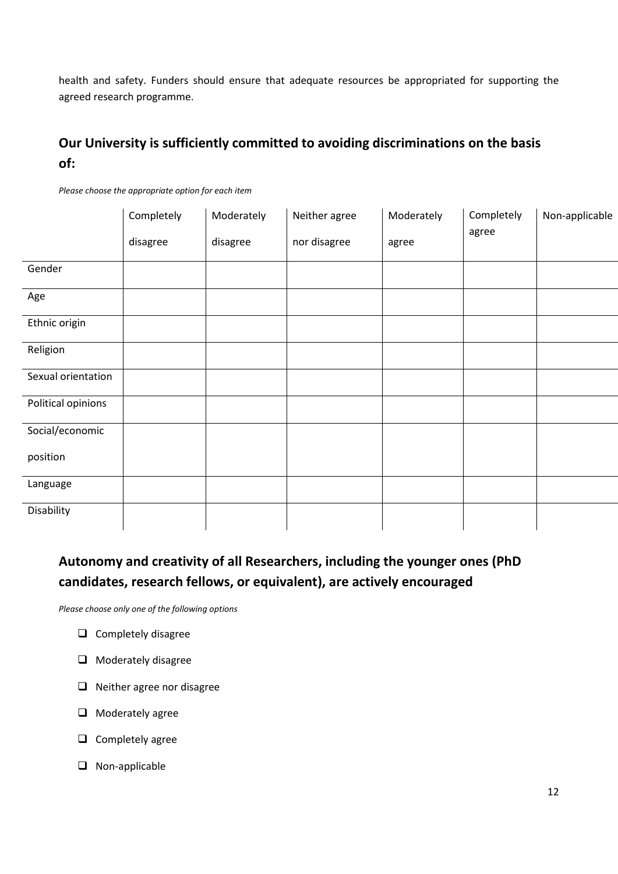health and safety. Funders should ensure that adequate resources be appropriated for supporting the agreed research programme.

## **Our University is sufficiently committed to avoiding discriminations on the basis of:**

|                    | Completely | Moderately | Neither agree | Moderately | Completely | Non-applicable |
|--------------------|------------|------------|---------------|------------|------------|----------------|
|                    | disagree   | disagree   | nor disagree  | agree      | agree      |                |
| Gender             |            |            |               |            |            |                |
| Age                |            |            |               |            |            |                |
| Ethnic origin      |            |            |               |            |            |                |
| Religion           |            |            |               |            |            |                |
| Sexual orientation |            |            |               |            |            |                |
| Political opinions |            |            |               |            |            |                |
| Social/economic    |            |            |               |            |            |                |
| position           |            |            |               |            |            |                |
| Language           |            |            |               |            |            |                |
| Disability         |            |            |               |            |            |                |

*Please choose the appropriate option for each item*

## **Autonomy and creativity of all Researchers, including the younger ones (PhD candidates, research fellows, or equivalent), are actively encouraged**

- $\Box$  Completely disagree
- **Q** Moderately disagree
- $\Box$  Neither agree nor disagree
- $\Box$  Moderately agree
- $\Box$  Completely agree
- □ Non-applicable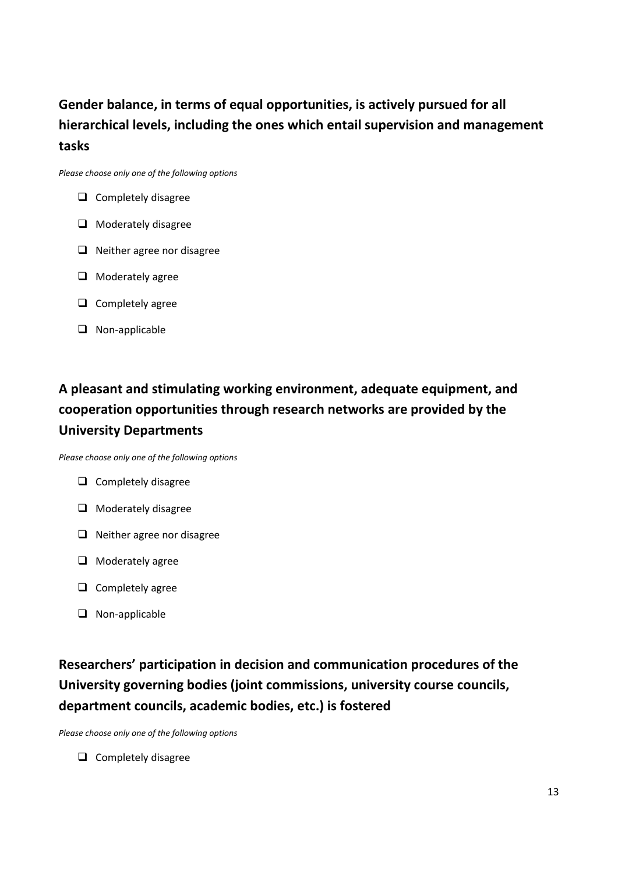## **Gender balance, in terms of equal opportunities, is actively pursued for all hierarchical levels, including the ones which entail supervision and management tasks**

*Please choose only one of the following options*

- $\Box$  Completely disagree
- $\Box$  Moderately disagree
- $\Box$  Neither agree nor disagree
- $\Box$  Moderately agree
- $\Box$  Completely agree
- $\Box$  Non-applicable

## **A pleasant and stimulating working environment, adequate equipment, and cooperation opportunities through research networks are provided by the University Departments**

*Please choose only one of the following options*

- $\Box$  Completely disagree
- $\Box$  Moderately disagree
- $\Box$  Neither agree nor disagree
- $\Box$  Moderately agree
- $\Box$  Completely agree
- □ Non-applicable

## **Researchers' participation in decision and communication procedures of the University governing bodies (joint commissions, university course councils, department councils, academic bodies, etc.) is fostered**

*Please choose only one of the following options*

 $\Box$  Completely disagree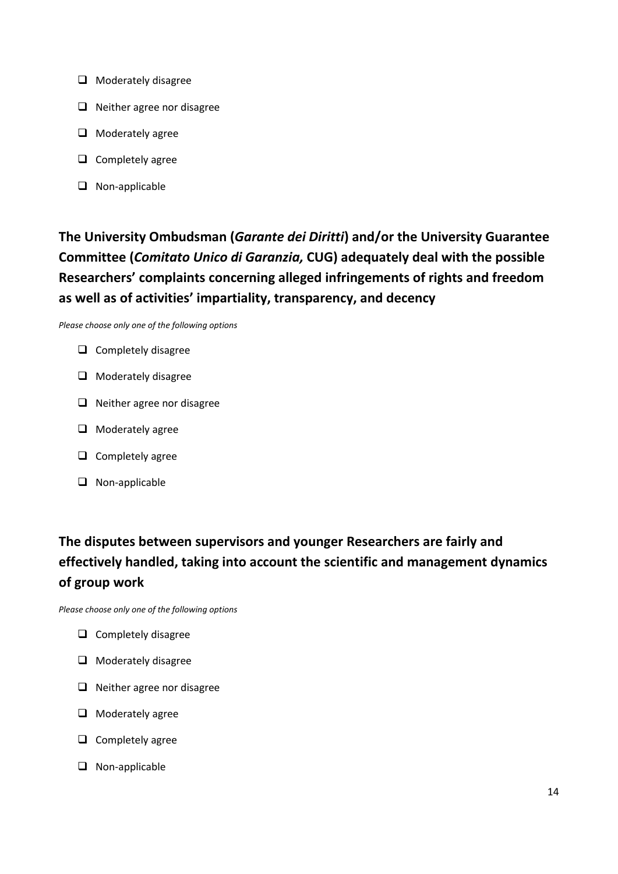- $\Box$  Moderately disagree
- $\Box$  Neither agree nor disagree
- $\Box$  Moderately agree
- $\Box$  Completely agree
- □ Non-applicable

## **The University Ombudsman (***Garante dei Diritti***) and/or the University Guarantee Committee (***Comitato Unico di Garanzia,* **CUG) adequately deal with the possible Researchers' complaints concerning alleged infringements of rights and freedom as well as of activities' impartiality, transparency, and decency**

*Please choose only one of the following options*

- $\Box$  Completely disagree
- $\Box$  Moderately disagree
- $\Box$  Neither agree nor disagree
- $\Box$  Moderately agree
- $\Box$  Completely agree
- **Q** Non-applicable

## **The disputes between supervisors and younger Researchers are fairly and effectively handled, taking into account the scientific and management dynamics of group work**

- $\Box$  Completely disagree
- $\Box$  Moderately disagree
- $\Box$  Neither agree nor disagree
- $\Box$  Moderately agree
- $\Box$  Completely agree
- $\Box$  Non-applicable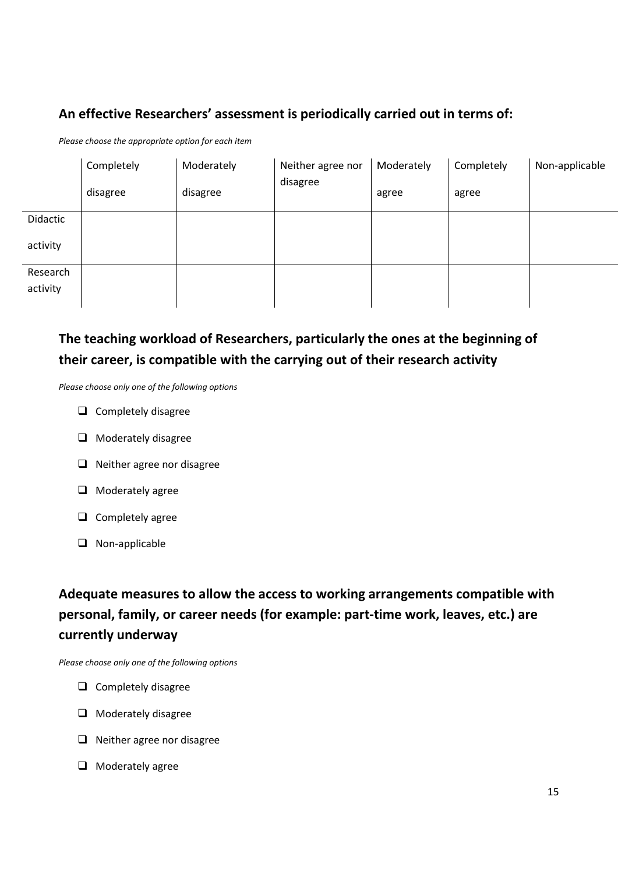## **An effective Researchers' assessment is periodically carried out in terms of:**

*Please choose the appropriate option for each item*

|          | Completely | Moderately | Neither agree nor<br>disagree | Moderately | Completely | Non-applicable |
|----------|------------|------------|-------------------------------|------------|------------|----------------|
|          | disagree   | disagree   |                               | agree      | agree      |                |
| Didactic |            |            |                               |            |            |                |
| activity |            |            |                               |            |            |                |
| Research |            |            |                               |            |            |                |
| activity |            |            |                               |            |            |                |

## **The teaching workload of Researchers, particularly the ones at the beginning of their career, is compatible with the carrying out of their research activity**

*Please choose only one of the following options*

- $\Box$  Completely disagree
- **O** Moderately disagree
- $\Box$  Neither agree nor disagree
- $\Box$  Moderately agree
- $\Box$  Completely agree
- **Q** Non-applicable

**Adequate measures to allow the access to working arrangements compatible with personal, family, or career needs (for example: part-time work, leaves, etc.) are currently underway**

- $\Box$  Completely disagree
- $\Box$  Moderately disagree
- $\Box$  Neither agree nor disagree
- $\Box$  Moderately agree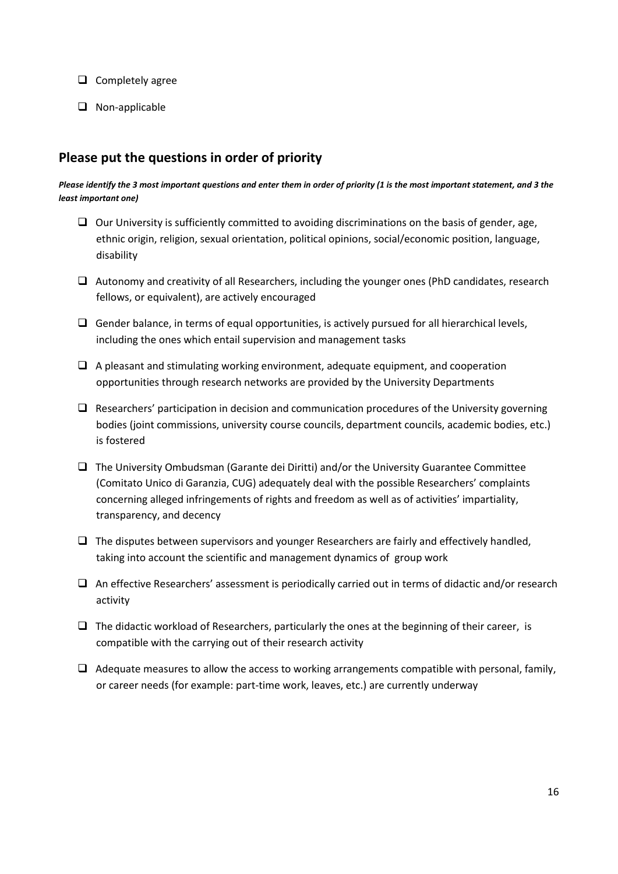- $\Box$  Completely agree
- □ Non-applicable

### **Please put the questions in order of priority**

#### *Please identify the 3 most important questions and enter them in order of priority (1 is the most important statement, and 3 the least important one)*

- $\Box$  Our University is sufficiently committed to avoiding discriminations on the basis of gender, age, ethnic origin, religion, sexual orientation, political opinions, social/economic position, language, disability
- $\Box$  Autonomy and creativity of all Researchers, including the younger ones (PhD candidates, research fellows, or equivalent), are actively encouraged
- $\Box$  Gender balance, in terms of equal opportunities, is actively pursued for all hierarchical levels, including the ones which entail supervision and management tasks
- $\Box$  A pleasant and stimulating working environment, adequate equipment, and cooperation opportunities through research networks are provided by the University Departments
- $\Box$  Researchers' participation in decision and communication procedures of the University governing bodies (joint commissions, university course councils, department councils, academic bodies, etc.) is fostered
- $\Box$  The University Ombudsman (Garante dei Diritti) and/or the University Guarantee Committee (Comitato Unico di Garanzia, CUG) adequately deal with the possible Researchers' complaints concerning alleged infringements of rights and freedom as well as of activities' impartiality, transparency, and decency
- $\Box$  The disputes between supervisors and younger Researchers are fairly and effectively handled, taking into account the scientific and management dynamics of group work
- $\Box$  An effective Researchers' assessment is periodically carried out in terms of didactic and/or research activity
- $\Box$  The didactic workload of Researchers, particularly the ones at the beginning of their career, is compatible with the carrying out of their research activity
- $\Box$  Adequate measures to allow the access to working arrangements compatible with personal, family, or career needs (for example: part-time work, leaves, etc.) are currently underway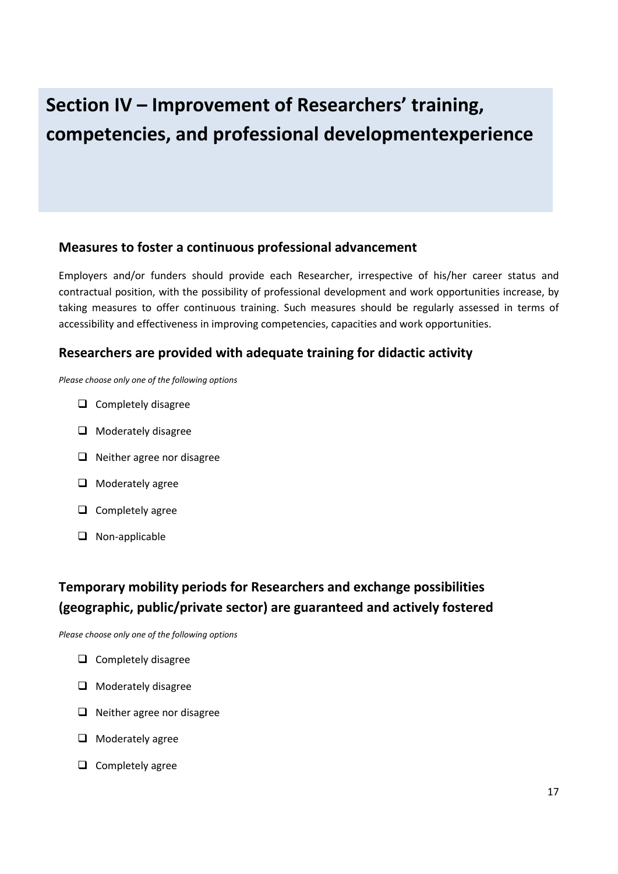# **Section IV – Improvement of Researchers' training, competencies, and professional developmentexperience**

#### **Measures to foster a continuous professional advancement**

Employers and/or funders should provide each Researcher, irrespective of his/her career status and contractual position, with the possibility of professional development and work opportunities increase, by taking measures to offer continuous training. Such measures should be regularly assessed in terms of accessibility and effectiveness in improving competencies, capacities and work opportunities.

### **Researchers are provided with adequate training for didactic activity**

*Please choose only one of the following options*

- $\Box$  Completely disagree
- $\Box$  Moderately disagree
- $\Box$  Neither agree nor disagree
- $\Box$  Moderately agree
- $\Box$  Completely agree
- $\Box$  Non-applicable

## **Temporary mobility periods for Researchers and exchange possibilities (geographic, public/private sector) are guaranteed and actively fostered**

- $\Box$  Completely disagree
- $\Box$  Moderately disagree
- $\Box$  Neither agree nor disagree
- $\Box$  Moderately agree
- $\Box$  Completely agree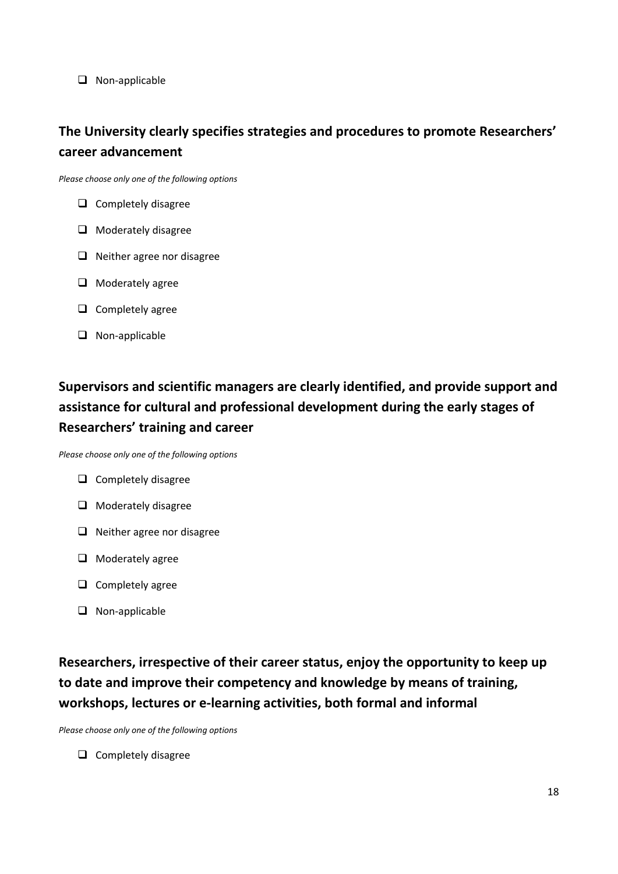□ Non-applicable

## **The University clearly specifies strategies and procedures to promote Researchers' career advancement**

*Please choose only one of the following options*

- $\Box$  Completely disagree
- **O** Moderately disagree
- $\Box$  Neither agree nor disagree
- $\Box$  Moderately agree
- $\Box$  Completely agree
- □ Non-applicable

## **Supervisors and scientific managers are clearly identified, and provide support and assistance for cultural and professional development during the early stages of Researchers' training and career**

*Please choose only one of the following options*

- $\Box$  Completely disagree
- $\Box$  Moderately disagree
- $\Box$  Neither agree nor disagree
- $\Box$  Moderately agree
- $\Box$  Completely agree
- $\Box$  Non-applicable

**Researchers, irrespective of their career status, enjoy the opportunity to keep up to date and improve their competency and knowledge by means of training, workshops, lectures or e-learning activities, both formal and informal**

*Please choose only one of the following options*

 $\Box$  Completely disagree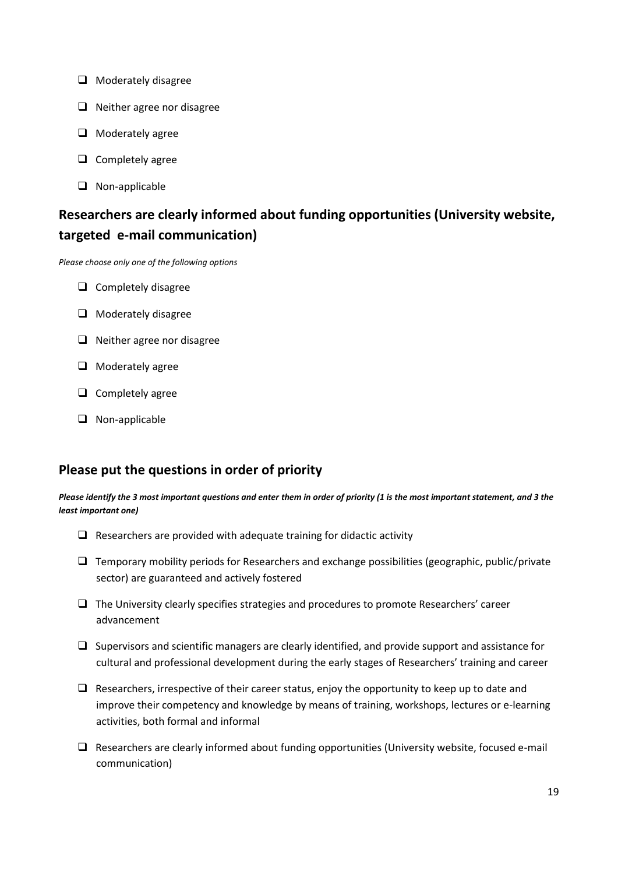- $\Box$  Moderately disagree
- $\Box$  Neither agree nor disagree
- $\Box$  Moderately agree
- $\Box$  Completely agree
- □ Non-applicable

## **Researchers are clearly informed about funding opportunities (University website, targeted e-mail communication)**

*Please choose only one of the following options*

- $\Box$  Completely disagree
- $\Box$  Moderately disagree
- $\Box$  Neither agree nor disagree
- $\Box$  Moderately agree
- $\Box$  Completely agree
- $\Box$  Non-applicable

### **Please put the questions in order of priority**

*Please identify the 3 most important questions and enter them in order of priority (1 is the most important statement, and 3 the least important one)*

- $\Box$  Researchers are provided with adequate training for didactic activity
- $\Box$  Temporary mobility periods for Researchers and exchange possibilities (geographic, public/private sector) are guaranteed and actively fostered
- $\Box$  The University clearly specifies strategies and procedures to promote Researchers' career advancement
- $\Box$  Supervisors and scientific managers are clearly identified, and provide support and assistance for cultural and professional development during the early stages of Researchers' training and career
- $\Box$  Researchers, irrespective of their career status, enjoy the opportunity to keep up to date and improve their competency and knowledge by means of training, workshops, lectures or e-learning activities, both formal and informal
- $\Box$  Researchers are clearly informed about funding opportunities (University website, focused e-mail communication)